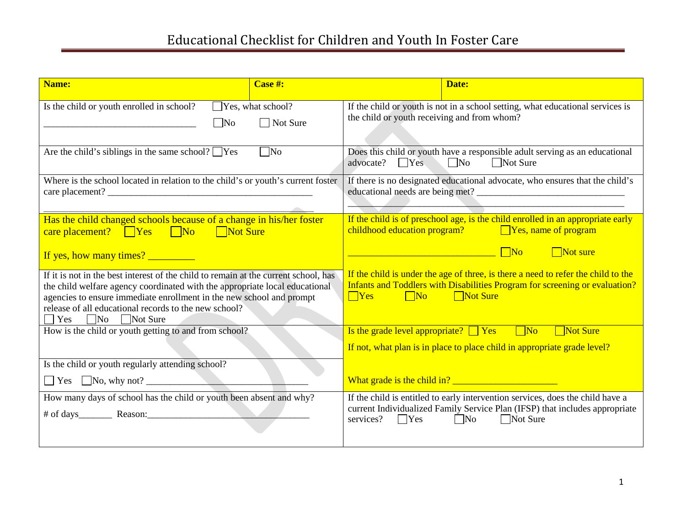| Name:                                                                                                                                                                                                                                                                                                                     | Case #:                                | Date:                                                                                                                                                                                                                 |
|---------------------------------------------------------------------------------------------------------------------------------------------------------------------------------------------------------------------------------------------------------------------------------------------------------------------------|----------------------------------------|-----------------------------------------------------------------------------------------------------------------------------------------------------------------------------------------------------------------------|
| Is the child or youth enrolled in school?<br> No                                                                                                                                                                                                                                                                          | $\Box$ Yes, what school?<br>□ Not Sure | If the child or youth is not in a school setting, what educational services is<br>the child or youth receiving and from whom?                                                                                         |
| Are the child's siblings in the same school? $\Box$ Yes                                                                                                                                                                                                                                                                   | $\Box$ No                              | Does this child or youth have a responsible adult serving as an educational<br>$N$ o<br>Not Sure<br>advocate? $\Box$ Yes                                                                                              |
| Where is the school located in relation to the child's or youth's current foster                                                                                                                                                                                                                                          |                                        | If there is no designated educational advocate, who ensures that the child's                                                                                                                                          |
| Has the child changed schools because of a change in his/her foster<br>care placement? Yes No Not Sure                                                                                                                                                                                                                    |                                        | If the child is of preschool age, is the child enrolled in an appropriate early<br>childhood education program? $\Box$ Yes, name of program                                                                           |
| If yes, how many times?                                                                                                                                                                                                                                                                                                   |                                        | $\Box$ Not sure                                                                                                                                                                                                       |
| If it is not in the best interest of the child to remain at the current school, has<br>the child welfare agency coordinated with the appropriate local educational<br>agencies to ensure immediate enrollment in the new school and prompt<br>release of all educational records to the new school?<br>Yes No No Not Sure |                                        | If the child is under the age of three, is there a need to refer the child to the<br>Infants and Toddlers with Disabilities Program for screening or evaluation?<br>$\Box$ Yes $\Box$ No $\Box$ Not Sure              |
| How is the child or youth getting to and from school?                                                                                                                                                                                                                                                                     |                                        | Is the grade level appropriate? $\Box$ Yes $\Box$ No $\Box$ Not Sure                                                                                                                                                  |
|                                                                                                                                                                                                                                                                                                                           |                                        | If not, what plan is in place to place child in appropriate grade level?                                                                                                                                              |
| Is the child or youth regularly attending school?                                                                                                                                                                                                                                                                         |                                        |                                                                                                                                                                                                                       |
| $\Box$ Yes $\Box$ No, why not?                                                                                                                                                                                                                                                                                            |                                        |                                                                                                                                                                                                                       |
| How many days of school has the child or youth been absent and why?                                                                                                                                                                                                                                                       |                                        | If the child is entitled to early intervention services, does the child have a<br>current Individualized Family Service Plan (IFSP) that includes appropriate<br>$\n  \square No$<br>services? $\Box$ Yes<br>Not Sure |